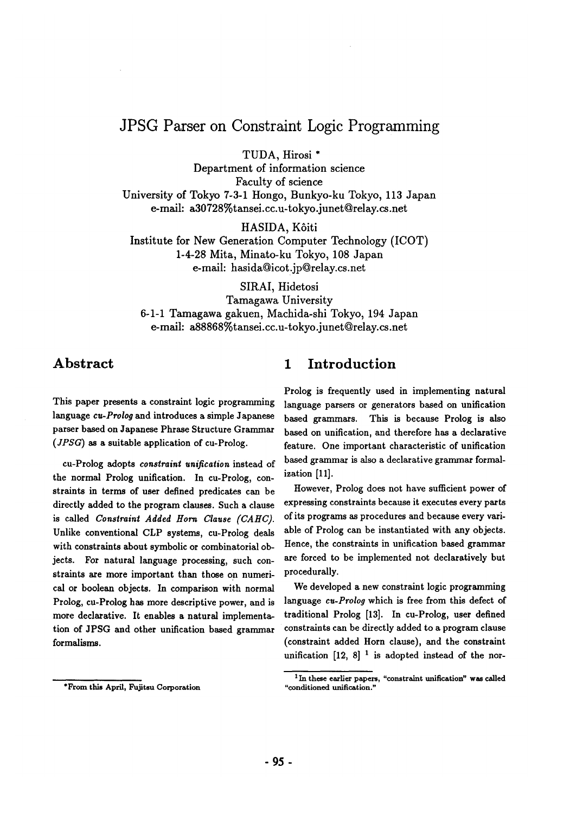# **JPSG Parser on Constraint Logic Programming**

TUDA, Hirosi \*

Department of information science Faculty of science University of Tokyo 7-3-1 Hongo, Bunkyo-ku Tokyo, 113 Japan e-maih a30728%tansei.cc.u-tokyo.junet @relay.cs.net

HASIDA, Kôiti

Institute for New Generation Computer Technology (ICOT) 1-4-28 Mita, Minato-ku Tokyo, 108 Japan e-mail: hasida@icot.jp@relay.cs.net

SIRAI, Hidetosi Tamagawa University 6-1-1 Tamagawa gakuen, Machida-shi Tokyo, 194 Japan e-mail: a88868%tansei.cc.u-tokyo.junet@relay.cs.net

## **Abstract**

This paper presents a constraint logic programming language *cu-Prolog* and introduces a simple Japanese parser based on Japanese Phrase Structure Grammar *(JPSG)* as a suitable application of cu-Prolog.

cu-Prolog adopts *constraint unification* instead of the normal Prolog unification. In cu-Prolog, constraints in terms of user defined predicates can be directly added to the program clauses. Such a clause is called *Constraint Added Horn Clause (CAHC}.*  Unlike conventional CLP systems, cu-Prolog deals with constraints about symbolic or combinatorial objects. For natural language processing, such constraints are more important than those on numerical or boolean objects. In comparison with normal Prolog, cu-Prolog has more descriptive power, and is more declarative. It enables a natural implementation of JPSG and other unification based grammar formalisms.

#### \*From this April, Fujitsu Corporation

## **1 Introduction**

Prolog is frequently used in implementing natural language parsers or generators based on unification based grammars. This is because Prolog is also based on unification, and therefore has a declarative feature. One important characteristic of unification based grammar is also a declarative grammar formalization [11].

However, Prolog does not have sufficient power of expressing constraints because it executes every parts of its programs as procedures and because every variable of Prolog can be instantiated with any objects. Hence, the constraints in unification based grammar are forced to be implemented not declaratively but procedurally.

We developed a new constraint logic programming language *cu-Prolog* which is free from this defect of traditional Prolog [13]. In cu-Prolog, user defined constraints can be directly added to a program clause (constraint added Horn clause), and the constraint unification  $[12, 8]$ <sup>1</sup> is adopted instead of the nor-

**<sup>1</sup> In these** earlier papers, "constraint unification" was called "conditioned unification."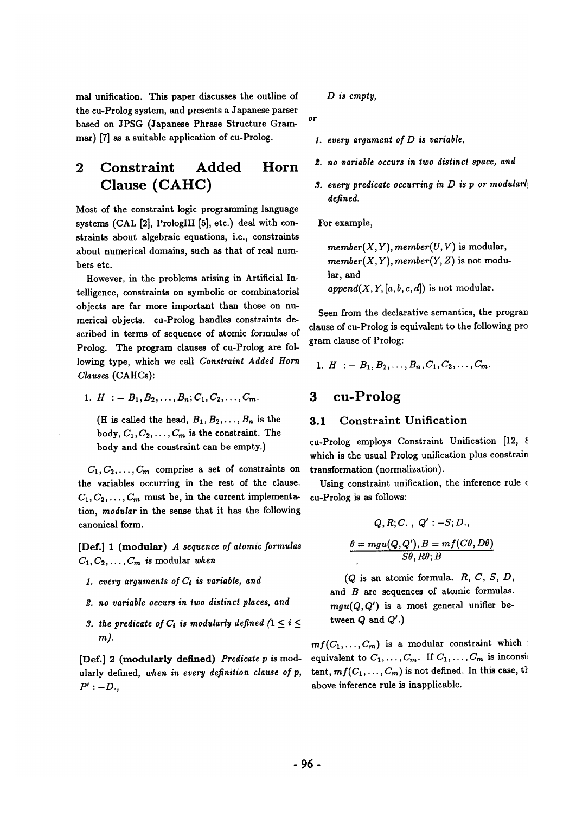mal unification. This paper discusses the outline of the cu-Prolog system, and presents a Japanese parser based on JPSG (Japanese Phrase Structure Grammar) [7] as a suitable application of cu-Prolog.

# **2 Constraint Added Horn Clause (CAHC)**

Most of the constraint logic programming language systems (CAL [2], PrologIII [5], etc.) deal with constraints about algebraic equations, i.e., constraints about numerical domains, such as that of real numbers etc.

However, in the problems arising in Artificial Intelligence, constraints on symbolic or combinatorial objects are far more important than those on numerical objects, cu-Prolog handles constraints described in terms of sequence of atomic formulas of Prolog. The program clauses of cu-Prolog are following type, which we call *Constraint Added Horn Clauses* (CAHCs):

1.  $H := B_1, B_2, \ldots, B_n; C_1, C_2, \ldots, C_m$ .

(H is called the head,  $B_1, B_2, \ldots, B_n$  is the body,  $C_1, C_2, \ldots, C_m$  is the constraint. The body and the constraint can be empty.)

 $C_1, C_2, \ldots, C_m$  comprise a set of constraints on the variables occurring in the rest of the clause.  $C_1, C_2, \ldots, C_m$  must be, in the current implementation, *modular* in the sense that it has the following canonical form.

[Def.] 1 (modular) *A sequence of atomic formulas*   $C_1, C_2, \ldots, C_m$  is modular when

- *1. every arguments of Ci is variable, and*
- *~. no variable occurs in two distinct places, and*
- *3. the predicate of*  $C_i$  *is modularly defined*  $(1 \leq i \leq j)$ *m).*

[Def.] 2 (modularly defined) *Predicate p is* modularly defined, *when in every definition clause of p,*   $P'$  :  $-D$ .,

*D is empty,* 

or

- *1. every argument of D is variable,*
- *~. no variable occurs in two distinct space, and*
- *3. every predicate occurring in D is p or modularly defined.*

For example,

 $member(X, Y), member(U, V)$  is modular,  $member(X, Y), member(Y, Z)$  is not modular, and  $append(X, Y, [a, b, c, d])$  is not modular.

Seen from the declarative semantics, the program clause of cu-Prolog is equivalent to the following program clause of Prolog:

1. 
$$
H := B_1, B_2, \ldots, B_n, C_1, C_2, \ldots, C_m
$$

## **3 cu-Prolog**

#### 3.1 Constraint Unification

cu-Prolog employs Constraint Unification [12, 8] which is the usual Prolog unification plus constrain transformation (normalization).

Using constraint unification, the inference rule o cu-Prolog is as follows:

$$
Q, R; C., Q': -S; D.,
$$

$$
\theta = mgu(Q, Q'), B = mf(C\theta, D\theta)
$$

$$
S\theta, R\theta; B
$$

 $(Q \text{ is an atomic formula. } R, C, S, D,$ and  $B$  are sequences of atomic formulas.  $mgu(Q, Q')$  is a most general unifier between  $Q$  and  $Q'$ .)

 $mf(C_1,...,C_m)$  is a modular constraint which is equivalent to  $C_1, \ldots, C_m$ . If  $C_1, \ldots, C_m$  is inconsistent,  $mf(C_1, \ldots, C_m)$  is not defined. In this case, the above inference rule is inapplicable.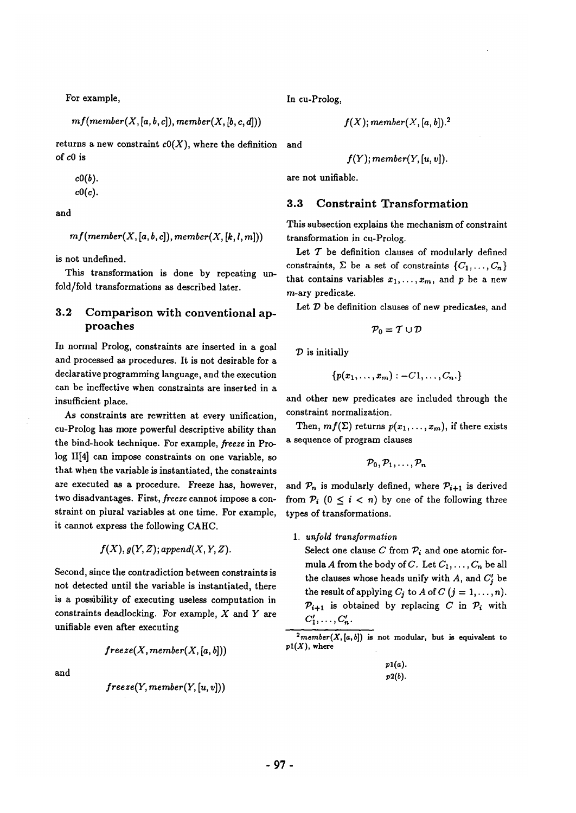For example,

 $mf(member(X, [a, b, c]), member(X, [b, c, d]))$ 

returns a new constraint *cO(X),* where the definition and of cO is

$$
c0(b).
$$

 $c0(c).$ 

and

$$
mf(member(X, [a, b, c]), member(X, [k, l, m]))
$$

is not undefined.

This transformation is done by repeating unfold/fold transformations as described later.

### 3.2 Comparison with conventional approaches

In normal Prolog, constraints are inserted in a goal and processed as procedures. It is not desirable for a declarative programming language, and the execution can be ineffective when constraints are inserted in a insufficient place.

As constraints are rewritten at every unification, cu-Prolog has more powerful descriptive ability than the bind-hook technique. For example, *freeze* in Prolog II[4] can impose constraints on one variable, so that when the variable is instantiated, the constraints are executed as a procedure. Freeze has, however, two disadvantages. First, *freeze* cannot impose a constraint on plural variables at one time. For example, it cannot express the following CAHC.

$$
f(X), g(Y, Z); append(X, Y, Z).
$$

Second, since the contradiction between constraints is not detected until the variable is instantiated, there is a possibility of executing useless computation in constraints deadlocking. For example,  $X$  and  $Y$  are unifiable even after executing

$$
freeze(X, member(X, [a, b]))
$$

and

$$
freeze(Y, member(Y,[u,v]))
$$

In cu-Prolog,

$$
f(X); member(X,[a,b]).^2 \mid
$$

$$
f(Y); member(Y, [u, v]).
$$

are not unifiable.

#### **3.3** Constraint Transformation

This subsection explains the mechanism of constraint transformation in cu-Prolog.

Let  $T$  be definition clauses of modularly defined constraints,  $\Sigma$  be a set of constraints  $\{C_1,\ldots,C_n\}$ that contains variables  $x_1, \ldots, x_m$ , and p be a new m-ary predicate.

Let  $D$  be definition clauses of new predicates, and

$$
\mathcal{P}_0 = \mathcal{T} \cup \mathcal{D}
$$

 $\mathcal D$  is initially

$$
\{p(x_1,\ldots,x_m):-C1,\ldots,C_n.\}
$$

and other new predicates are included through the constraint normalization.

Then,  $mf(\Sigma)$  returns  $p(x_1,...,x_m)$ , if there exists a sequence of program clauses

$$
\mathcal{P}_0,\mathcal{P}_1,\ldots,\mathcal{P}_n
$$

and  $\mathcal{P}_n$  is modularly defined, where  $\mathcal{P}_{i+1}$  is derived from  $P_i$  ( $0 \leq i < n$ ) by one of the following three types of transformations.

#### *1. unfold transformation*

Select one clause C from  $P_i$  and one atomic formula A from the body of C. Let  $C_1, \ldots, C_n$  be all the clauses whose heads unify with  $A$ , and  $C'$  be the result of applying  $C_j$  to  $A$  of  $C$   $(j = 1, ..., n)$ .  $\mathcal{P}_{i+1}$  is obtained by replacing C in  $\mathcal{P}_i$  with  $C'_1,\ldots,C'_n$ .

 $2$ member(X,[a,b]) is not modular, but is equivalent to  $p1(X)$ , where

| $p1(a)$ . |
|-----------|
| $p2(b)$ . |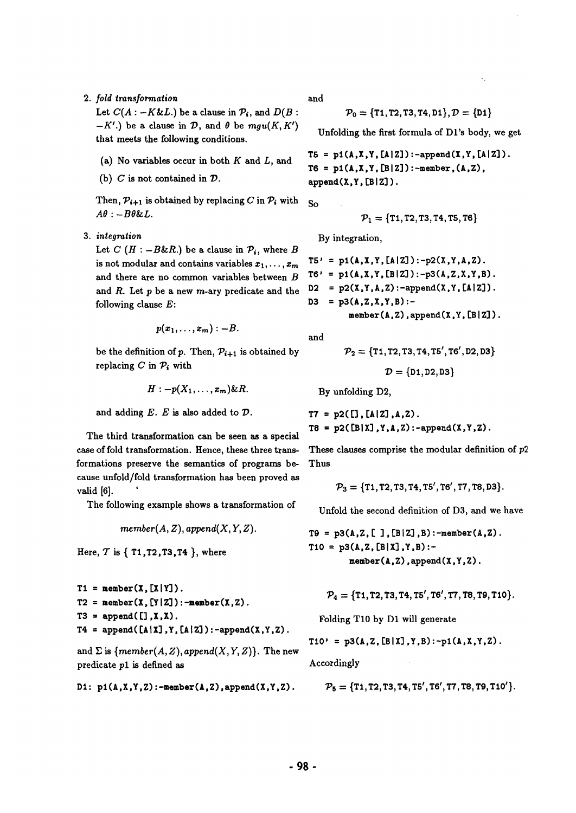*2. fold transformation* 

Let  $C(A : -K\&L.)$  be a clause in  $\mathcal{P}_i$ , and  $D(B :$  $-K'$ .) be a clause in  $\mathcal{D}$ , and  $\theta$  be  $mgu(K, K')$ that meets the following conditions.

- (a) No variables occur in both  $K$  and  $L$ , and
- (b)  $C$  is not contained in  $D$ .

Then,  $P_{i+1}$  is obtained by replacing C in  $P_i$  with  $A\theta$  :  $-B\theta \& L$ .

. *integration* 

Let  $C$  ( $H : -B\&R$ .) be a clause in  $P_i$ , where B is not modular and contains variables  $x_1, \ldots, x_m$ and there are no common variables between B and  $R$ . Let  $p$  be a new  $m$ -ary predicate and the following clause E:

$$
p(x_1,\ldots,x_m):-B.
$$

be the definition of p. Then,  $\mathcal{P}_{i+1}$  is obtained by replacing C in  $\mathcal{P}_i$  with

$$
H: -p(X_1,\ldots,x_m)\&R.
$$

and adding  $E$ .  $E$  is also added to  $D$ .

The third transformation can be seen as a special case of fold transformation. Hence, these three transformations preserve the semantics of programs because unfold/fold transformation has been proved as valid [6]. '

The following example shows a transformation of

 $member(A, Z), append(X, Y, Z).$ 

Here,  $T$  is  $\{T1, T2, T3, T4\}$ , where

```
T1 = member(X, [X|Y]).T2 = member(X, [Y|Z]): -member(X, Z).T3 = \text{append}([\,, \texttt{X}, \texttt{X}).T4 = \text{append}([\![A \, | X]\!], Y, [\![A \, | Z]\!]) : -append(X, Y, Z).
```
and  $\Sigma$  is  ${member(A, Z), append(X, Y, Z)}.$  The new predicate pl is defined as

**DI:** p1(A,X,Y,Z):-member(A,Z),append(X,Y,Z).

and

 $P_0 = \{T1, T2, T3, T4, D1\}, D = \{D1\}$ 

Unfolding the first formula of Dl's body, we get

 $TS = p1(A, X, Y, [A|Z])$ :-append $(X, Y, [A|Z])$ .  $T6 = p1(A, X, Y, [B|Z])$ : -member,  $(A, Z)$ , append(X,Y,[B|Z]).

So

$$
\mathcal{P}_1 = \{11, 12, 13, 14, 15, 16\}
$$

By integration,

T6' = pI(A,X,Y,[AJZ3):-p2(X,Y,A,Z). T6' = pI(A.X,Y,[BIZ3):-p3(A,Z,X,Y,B). D2 = p2(X,Y,A,Z):-append(X,Y, [AIZ]). **D3 =** p3(A,Z,X,Y,B): member **(A, Z), append (X, Y, [B [ Z/).** 

and

$$
\mathcal{P}_2 = \{11, 12, 13, 14, 15', 16', 12, 13\}
$$

$$
\mathcal{D} = \{\texttt{D1},\texttt{D2},\texttt{D3}\}
$$

By unfolding D2,

 $T7 = p2([1, [A|Z], A, Z)$ .  $T8 = p2([B|X], Y, A, Z) : -append(X, Y, Z)$ .

These clauses comprise the modular definition of p2. Thus

$$
\mathcal{P}_3=\{\texttt{T1},\texttt{T2},\texttt{T3},\texttt{T4},\texttt{T5}',\texttt{T6}',\texttt{T7},\texttt{T8},\texttt{D3}\}.
$$

Unfold the second definition of D3, and we have

 $T9 = p3(A, Z, [ ] , [B|Z], B) : -member(A, Z)$ .  $T10 = p3(A,Z,[B|X],Y,B)$ :**member (A, Z) ,append(X,Y,Z).** 

$$
\mathcal{P}_4 = \{T1, T2, T3, T4, T5', T6', T7, T8, T9, T10\}.
$$

Folding TIO by D1 will generate

$$
T10' = p3(A, Z, [B|X], Y, B): -p1(A, X, Y, Z).
$$

Accordingly

$$
\mathcal{P}_5 = \{T1, T2, T3, T4, T5', T6', T7, T8, T9, T10'\}.
$$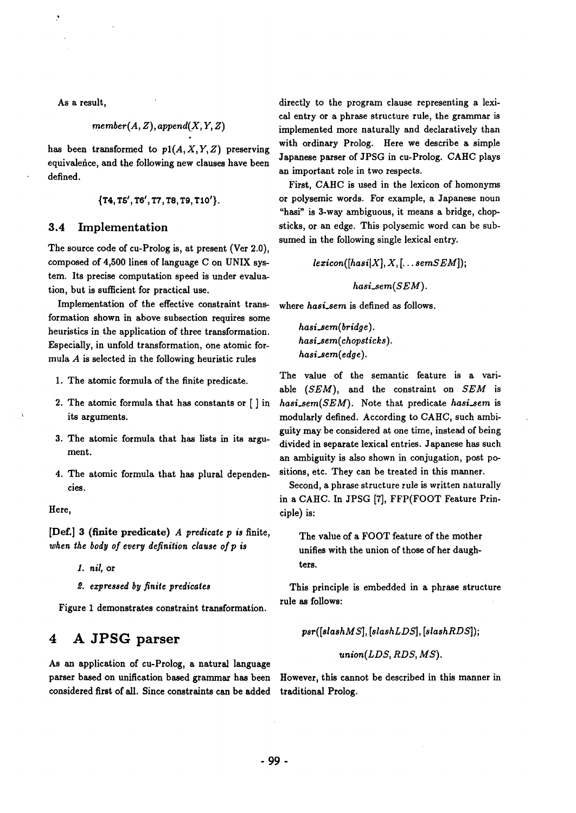As a result,

$$
member(A, Z), append(X, Y, Z)
$$

has been transformed to  $p1(A, X, Y, Z)$  preserving equivalence, and the following new clauses have been defined.

$$
{\{T4, TS', T6', T7, T8, T9, T10'\}}.
$$

### **3.4 Implementation**

The source code of cu-Prolog is, at present (Ver 2.0), composed of 4,500 lines of language C on UNIX system. Its precise computation speed is under evaluation, but is sufficient for practical use.

Implementation of the effective constraint transformation shown in above subsection requires some heuristics in the application of three transformation. Especially, in unfold transformation, one atomic formula A is selected in the following heuristic rules

- 1. The atomic formula of the finite predicate.
- 2. The atomic formula that has constants or [ ] in its arguments.
- 3. The atomic formula that has lists in its argument.
- 4. The atomic formula that has plural dependencies.

Here,

[Def.] 3 (finite predicate) *A predicate p is* finite, *when the body of every definition clause of p is* 

. *nil,* **or** 

*expressed by finite predicates* 

Figure 1 demonstrates constraint transformation.

## **4 A JPSG parser**

As an application of cu-Prolog, a natural language parser based on unification based grammar has been considered first of all. Since constraints can be added

directly to the program clause representing a lexical entry or a phrase structure rule, the grammar is implemented more naturally and declaratively than with ordinary Prolog. Here we describe a simple Japanese parser of JPSG in cu-Prolog. CAHC plays an important role in two respects.

First, CAHC is used in the lexicon of homonyms or polysemic words. For example, a Japanese noun "hasi" is 3-way ambiguous, it means a bridge, chopsticks, or an edge. This polysemic word can be subsumed in the following single lexical entry.

 $lexicon([hasi|X], X, [\ldots$ *semSEM* $]);$ 

 $hasi\_sem(SEM)$ .

where *hasi\_sem* is defined as follows.

*hasi.sem( bridge ).*   $hasi\_sem(chopsticks).$ *hasi.sem(edge).* 

The value of the semantic feature is a variable *(SEM),* and the constraint on *SEM* is *hasi\_sem(SEM).* Note that predicate *hasi\_sem* is modularly defined. According to *CAHC,* such ambiguity may be considered at one time, instead of being divided in separate lexical entries. Japanese has such an ambiguity is also shown in conjugation, post positions, etc. They can be treated in this manner.

Second, a phrase structure rule is written naturally in a CAHC. In JPSG [7], FFP(FOOT Feature Principle) is:

The value of a FOOT feature of the mother unifies with the union of those of her daughters.

This principle is embedded in a phrase structure rule as follows:

 $psr([slashMS], [slashLDS], [slashRDS])$ ;

 $union(LDS, RDS, MS)$ .

However, this cannot be described in this manner in traditional Prolog.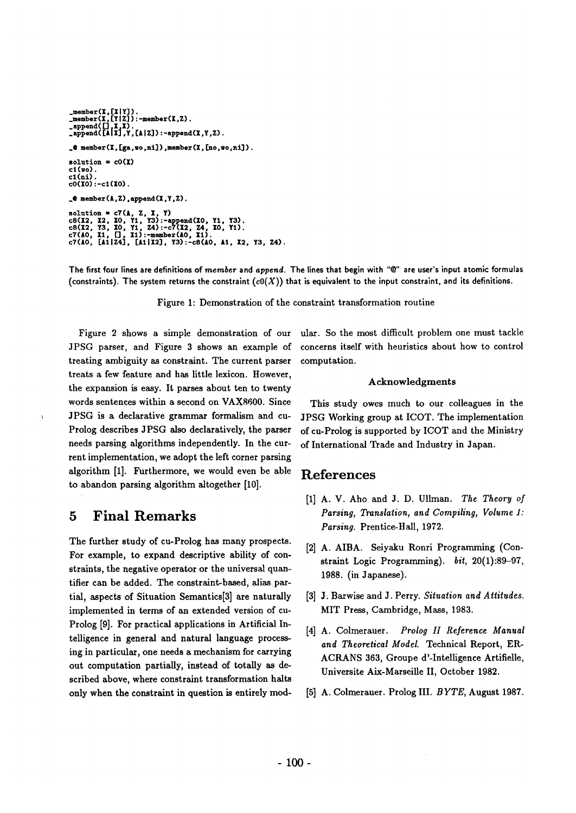```
_member(X,[X|Y]).<br>_member(X,[Y|Z]):-member(X,Z).
.append([],I,I). 
.append([lll],Y,[AIZ]):-append(X,Y,Z). 
\Box@ member(X,[ga,wo,ni]),member(X,[no,wo,ni]).
solution = cO(I) 
c1(w_0).
cl(ni). 
c0(X0):-c1(X0).
\bullet member(A,Z), append(X,Y,Z).
solution = c7(A, Z, X, Y)<br>c8(X2, X2, IO, Y1, Y3):-append(IO, Y1, Y3).<br>c8(I2, Y3, IO, Y1, Z4):-c7(X2, Z4, IO, Y1).<br>c7(AO, I1, [], I1):-member(AO, I1).<br>c7(AO, [A1|Z4], [A1|X2], Y3):-c8(AO, A1, I2, Y3, Z4).
```
The first four lines are definitions of *member* and *append*. The lines that begin with "@" are user's input atomic formulas (constraints). The system returns the constraint  $(c0(X))$  that is equivalent to the input constraint, and its definitions.

Figure 1: Demonstration of the constraint transformation routine

Figure 2 shows a simple demonstration of our JPSG parser, and Figure 3 shows an example of treating ambiguity as constraint. The current parser treats a few feature and has little lexicon. However, the expansion is easy. It parses about ten to twenty words sentences within a second on VAX8600. Since JPSG is a declarative grammar formalism and cu-Prolog describes JPSG also declaratively, the parser needs parsing algorithms independently. In the current implementation, we adopt the left corner parsing algorithm [1]. Furthermore, we would even be able to abandon parsing algorithm altogether [10].

## **5 Final Remarks**

 $\lambda$ 

The further study of cu-Prolog has many prospects. For example, to expand descriptive ability of constraints, the negative operator or the universal quantifier can be added. The constraint-based, alias partial, aspects of Situation Semantics[3] are naturally implemented in terms of an extended version of cu-Prolog [9]. For practical applications in Artificial In- [4] A. Colmerauer. telligence in general and natural language processing in particular, one needs a mechanism for carrying out computation partially, instead of totally as described above, where constraint transformation halts only when the constraint in question is entirely mod-

ular. So the most difficult problem one must tackle concerns itself with heuristics about how to control computation.

#### Acknowledgments

This study owes much to our colleagues in the JPSG Working group at ICOT. The implementation of cu-Prolog is supported by ICOT and the Ministry of International Trade and Industry in Japan.

## **References**

- **[i]**  A. V. Aho and J. D. Ullman. *The Theory of Parsing, Translation, and Compiling, Volume i: Parsing.* Prentice-Hall, 1972.
- A. AIBA. Seiyaku Ronri Programming (Constraint Logic Programming). *bit,* 20(1):89-97, 1988. (in Japanese).
- J. Barwise and J. Perry. *Situation and Attitudes.*  MIT Press, Cambridge, Mass, 1983.
- Prolog *II* Reference Manual *and Theoretical Model.* Technical Report, ER-ACRANS 363, Groupe d'-Intelligenee Artifielle, Universite Aix-Marseille II, October 1982.
- **[5]** A. Colmerauer. Prolog III. *BYTE,* August 1987.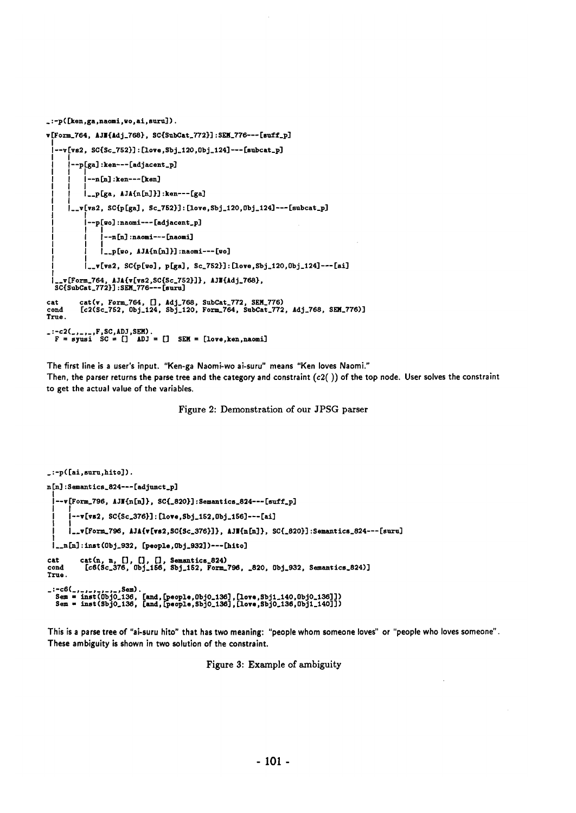```
_ : -p ( [ken, ga ,naomi, wo, al, euru] ). 
v [Form_764, AJH{Adj_768}, SC{SubCat_772}] : SEM_776--- [suff_p]
  I 
    -v[vs2, SC{Sc_752}]:[love, Sbj_1120, 0bj_1124] ---[subcat_p]Il--pFga] :ken---[adjao.nt_p] 
             --n[n] :ken---[ken]
       I I 
            I I__p[ga, AJA{n[n]}] :ken---[ga] 
       |<br>|__v[vs2, SC{p[ga], Sc_752}]:[love,Sbj_120,Obj_124]---[subcat_p]
            |<br>|--p[wo]:naomi---[adjacent_p]
            I I 
                  ---n[n]:naomi---[naomi]
            | |<br>| |_p[wo, AJA{n[n]}]:naomi---[wo]
            I 
              [__V[VS2, $C{p[wo], p[gal, Sc_752}] : [lovo,Sbj_120,Obj_124]---[ni] 
  |__v[Form_764, AJA{v[vs2,SC{Sc_752}]}, AJN{Adj_768},<br>SC{SubCat_772}]:SEM_776---[suru]
cat cat(v, Form_764, [], Adj.768, SubCat_772, SEH_776) 
cond [c2(Sc_752, 0bj_124, Sbj.120, Form_764, SubCat_772, Adj_768, SEM_776)] 
True. 
_:-c2(_,_,_,F,SC,ADJ,SEM).<br>| F = syusi SC = [] ADJ = [] SEM = [love,ken,naomi]
```
The first line is a user's input. "Ken-ga Naomi-wo ai-suru" means "Ken loves Naomi." Then, the parser returns the parse tree and the category and constraint *(c2())* of the top node. User solves the constraint to get the actual value of the variables.

**Figure 2: Demonstration of our 3PSG parser** 

```
\ldots= \lceilai.suru.hito]).
nIn] : Semant ics.824--- [adjunct_p] 
  |--v[Form_796, AJN{n[n]}, SC{_820}]:Semantics_824---[suff_p]
  I I 
        I I--viva2, SC{Sc.376}1 : [love,Sbj_lE2,0bj.lS6]---[ai] 
  I I 
       1 - x[Form_796, AJA{v[vs2, SC{Sc_376}]}, AJM{n[n]}, SC{_820}]:Semantics_824---[suru]
  |<br>|__n[n]:inst(Obj_932, [people,Obj_932])---[hito]
cat cat(n, n, [], [], [], Semantics_824)<br>cond [c6(Sc_376, Obj_156, Sbj_152, Form_796, _820, Obj_932, Semantics_824)]
True.
_:-c6(_,_,_,_,_,_,Sem).<br>| Sem = inst(ObjO_136, [and,[people,ObjO_136],[love,Sbj1_140,ObjO_136]]<br>| Sem = inst(SbjO_136, [and,[people,SbjO_136],[love,SbjO_136,Obj1_140]]
```
This is a parse tree of "ai-suru hito" that has two meaning: "people whom someone loves" or "people who loves someone". These ambiguity is shown in two solution of the constraint.

**Figure 3: Example of ambiguity**